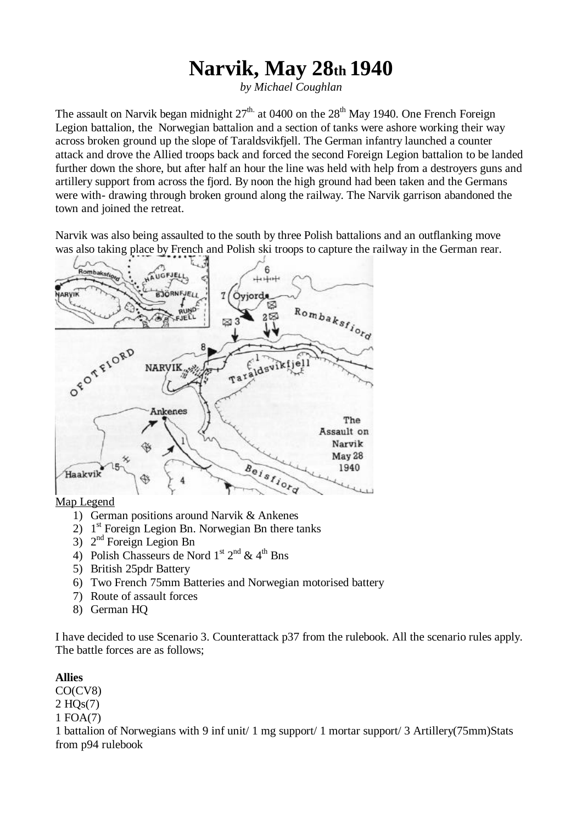## **Narvik, May 28th 1940**

*by Michael Coughlan*

The assault on Narvik began midnight  $27<sup>th</sup>$  at 0400 on the  $28<sup>th</sup>$  May 1940. One French Foreign Legion battalion, the Norwegian battalion and a section of tanks were ashore working their way across broken ground up the slope of Taraldsvikfjell. The German infantry launched a counter attack and drove the Allied troops back and forced the second Foreign Legion battalion to be landed further down the shore, but after half an hour the line was held with help from a destroyers guns and artillery support from across the fjord. By noon the high ground had been taken and the Germans were with- drawing through broken ground along the railway. The Narvik garrison abandoned the town and joined the retreat.

Narvik was also being assaulted to the south by three Polish battalions and an outflanking move was also taking place by French and Polish ski troops to capture the railway in the German rear.



Map Legend

- 1) German positions around Narvik & Ankenes
- $2)$  1<sup>st</sup> Foreign Legion Bn. Norwegian Bn there tanks
- $3)$   $2<sup>nd</sup>$  Foreign Legion Bn
- 4) Polish Chasseurs de Nord 1<sup>st</sup>  $2^{nd}$  & 4<sup>th</sup> Bns
- 5) British 25pdr Battery
- 6) Two French 75mm Batteries and Norwegian motorised battery
- 7) Route of assault forces
- 8) German HQ

I have decided to use Scenario 3. Counterattack p37 from the rulebook. All the scenario rules apply. The battle forces are as follows;

## **Allies**

CO(CV8)

2 HQs(7)

1 FOA(7)

1 battalion of Norwegians with 9 inf unit/ 1 mg support/ 1 mortar support/ 3 Artillery(75mm)Stats from p94 rulebook